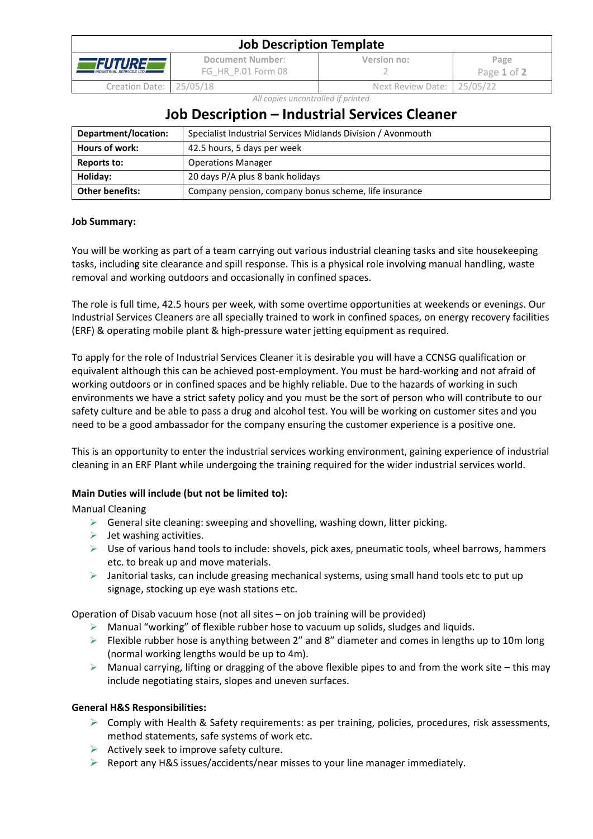| <b>Job Description Template</b>                  |                                        |                            |                     |  |  |
|--------------------------------------------------|----------------------------------------|----------------------------|---------------------|--|--|
| <i>FUTURE</i><br><b>INDUSTRIAL SERVICES LTD.</b> | Document Number:<br>FG HR P.01 Form 08 | Version no:                | Page<br>Page 1 of 2 |  |  |
| Creation Date: 25/05/18                          |                                        | Next Review Date: 25/05/22 |                     |  |  |

*All copies uncontrolled if printed*

# **Job Description – Industrial Services Cleaner**

| Department/location:   | Specialist Industrial Services Midlands Division / Avonmouth |  |
|------------------------|--------------------------------------------------------------|--|
| Hours of work:         | 42.5 hours, 5 days per week                                  |  |
| Reports to:            | <b>Operations Manager</b>                                    |  |
| Holiday:               | 20 days P/A plus 8 bank holidays                             |  |
| <b>Other benefits:</b> | Company pension, company bonus scheme, life insurance        |  |

## **Job Summary:**

You will be working as part of a team carrying out various industrial cleaning tasks and site housekeeping tasks, including site clearance and spill response. This is a physical role involving manual handling, waste removal and working outdoors and occasionally in confined spaces.

The role is full time, 42.5 hours per week, with some overtime opportunities at weekends or evenings. Our Industrial Services Cleaners are all specially trained to work in confined spaces, on energy recovery facilities (ERF) & operating mobile plant & high-pressure water jetting equipment as required.

To apply for the role of Industrial Services Cleaner it is desirable you will have a CCNSG qualification or equivalent although this can be achieved post-employment. You must be hard-working and not afraid of working outdoors or in confined spaces and be highly reliable. Due to the hazards of working in such environments we have a strict safety policy and you must be the sort of person who will contribute to our safety culture and be able to pass a drug and alcohol test. You will be working on customer sites and you need to be a good ambassador for the company ensuring the customer experience is a positive one.

This is an opportunity to enter the industrial services working environment, gaining experience of industrial cleaning in an ERF Plant while undergoing the training required for the wider industrial services world.

# **Main Duties will include (but not be limited to):**

Manual Cleaning

- $\triangleright$  General site cleaning: sweeping and shovelling, washing down, litter picking.
- $\triangleright$  Jet washing activities.
- ➢ Use of various hand tools to include: shovels, pick axes, pneumatic tools, wheel barrows, hammers etc. to break up and move materials.
- $\triangleright$  Janitorial tasks, can include greasing mechanical systems, using small hand tools etc to put up signage, stocking up eye wash stations etc.

Operation of Disab vacuum hose (not all sites – on job training will be provided)

- $\triangleright$  Manual "working" of flexible rubber hose to vacuum up solids, sludges and liquids.
- $\triangleright$  Flexible rubber hose is anything between 2" and 8" diameter and comes in lengths up to 10m long (normal working lengths would be up to 4m).
- $\triangleright$  Manual carrying, lifting or dragging of the above flexible pipes to and from the work site this may include negotiating stairs, slopes and uneven surfaces.

## **General H&S Responsibilities:**

- $\triangleright$  Comply with Health & Safety requirements: as per training, policies, procedures, risk assessments, method statements, safe systems of work etc.
- $\triangleright$  Actively seek to improve safety culture.
- $\triangleright$  Report any H&S issues/accidents/near misses to your line manager immediately.